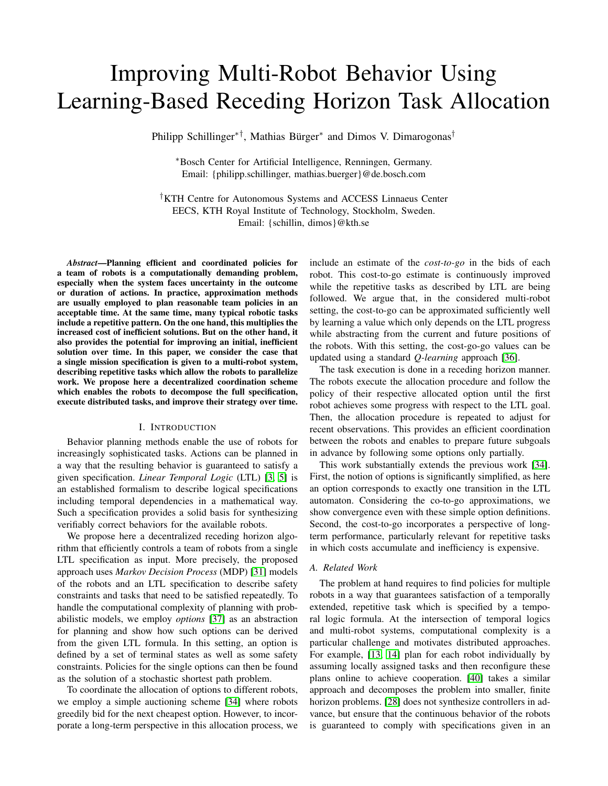# <span id="page-0-0"></span>Improving Multi-Robot Behavior Using Learning-Based Receding Horizon Task Allocation

Philipp Schillinger∗†, Mathias Bürger<sup>∗</sup> and Dimos V. Dimarogonas†

<sup>∗</sup>Bosch Center for Artificial Intelligence, Renningen, Germany. Email: {philipp.schillinger, mathias.buerger}@de.bosch.com

†KTH Centre for Autonomous Systems and ACCESS Linnaeus Center EECS, KTH Royal Institute of Technology, Stockholm, Sweden. Email: {schillin, dimos}@kth.se

*Abstract*—Planning efficient and coordinated policies for a team of robots is a computationally demanding problem, especially when the system faces uncertainty in the outcome or duration of actions. In practice, approximation methods are usually employed to plan reasonable team policies in an acceptable time. At the same time, many typical robotic tasks include a repetitive pattern. On the one hand, this multiplies the increased cost of inefficient solutions. But on the other hand, it also provides the potential for improving an initial, inefficient solution over time. In this paper, we consider the case that a single mission specification is given to a multi-robot system, describing repetitive tasks which allow the robots to parallelize work. We propose here a decentralized coordination scheme which enables the robots to decompose the full specification, execute distributed tasks, and improve their strategy over time.

# I. INTRODUCTION

Behavior planning methods enable the use of robots for increasingly sophisticated tasks. Actions can be planned in a way that the resulting behavior is guaranteed to satisfy a given specification. *Linear Temporal Logic* (LTL) [\[3,](#page-8-0) [5\]](#page-8-1) is an established formalism to describe logical specifications including temporal dependencies in a mathematical way. Such a specification provides a solid basis for synthesizing verifiably correct behaviors for the available robots.

We propose here a decentralized receding horizon algorithm that efficiently controls a team of robots from a single LTL specification as input. More precisely, the proposed approach uses *Markov Decision Process* (MDP) [\[31\]](#page-8-2) models of the robots and an LTL specification to describe safety constraints and tasks that need to be satisfied repeatedly. To handle the computational complexity of planning with probabilistic models, we employ *options* [\[37\]](#page-9-0) as an abstraction for planning and show how such options can be derived from the given LTL formula. In this setting, an option is defined by a set of terminal states as well as some safety constraints. Policies for the single options can then be found as the solution of a stochastic shortest path problem.

To coordinate the allocation of options to different robots, we employ a simple auctioning scheme [\[34\]](#page-8-3) where robots greedily bid for the next cheapest option. However, to incorporate a long-term perspective in this allocation process, we include an estimate of the *cost-to-go* in the bids of each robot. This cost-to-go estimate is continuously improved while the repetitive tasks as described by LTL are being followed. We argue that, in the considered multi-robot setting, the cost-to-go can be approximated sufficiently well by learning a value which only depends on the LTL progress while abstracting from the current and future positions of the robots. With this setting, the cost-go-go values can be updated using a standard *Q-learning* approach [\[36\]](#page-9-1).

The task execution is done in a receding horizon manner. The robots execute the allocation procedure and follow the policy of their respective allocated option until the first robot achieves some progress with respect to the LTL goal. Then, the allocation procedure is repeated to adjust for recent observations. This provides an efficient coordination between the robots and enables to prepare future subgoals in advance by following some options only partially.

This work substantially extends the previous work [\[34\]](#page-8-3). First, the notion of options is significantly simplified, as here an option corresponds to exactly one transition in the LTL automaton. Considering the co-to-go approximations, we show convergence even with these simple option definitions. Second, the cost-to-go incorporates a perspective of longterm performance, particularly relevant for repetitive tasks in which costs accumulate and inefficiency is expensive.

#### *A. Related Work*

The problem at hand requires to find policies for multiple robots in a way that guarantees satisfaction of a temporally extended, repetitive task which is specified by a temporal logic formula. At the intersection of temporal logics and multi-robot systems, computational complexity is a particular challenge and motivates distributed approaches. For example, [\[13,](#page-8-4) [14\]](#page-8-5) plan for each robot individually by assuming locally assigned tasks and then reconfigure these plans online to achieve cooperation. [\[40\]](#page-9-2) takes a similar approach and decomposes the problem into smaller, finite horizon problems. [\[28\]](#page-8-6) does not synthesize controllers in advance, but ensure that the continuous behavior of the robots is guaranteed to comply with specifications given in an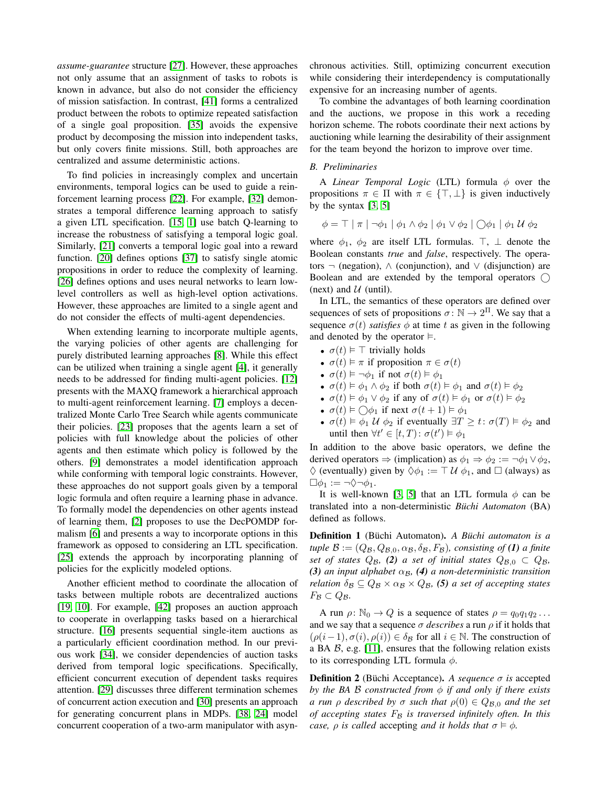*assume-guarantee* structure [\[27\]](#page-8-7). However, these approaches not only assume that an assignment of tasks to robots is known in advance, but also do not consider the efficiency of mission satisfaction. In contrast, [\[41\]](#page-9-3) forms a centralized product between the robots to optimize repeated satisfaction of a single goal proposition. [\[35\]](#page-9-4) avoids the expensive product by decomposing the mission into independent tasks, but only covers finite missions. Still, both approaches are centralized and assume deterministic actions.

To find policies in increasingly complex and uncertain environments, temporal logics can be used to guide a reinforcement learning process [\[22\]](#page-8-8). For example, [\[32\]](#page-8-9) demonstrates a temporal difference learning approach to satisfy a given LTL specification. [\[15,](#page-8-10) [1\]](#page-8-11) use batch Q-learning to increase the robustness of satisfying a temporal logic goal. Similarly, [\[21\]](#page-8-12) converts a temporal logic goal into a reward function. [\[20\]](#page-8-13) defines options [\[37\]](#page-9-0) to satisfy single atomic propositions in order to reduce the complexity of learning. [\[26\]](#page-8-14) defines options and uses neural networks to learn lowlevel controllers as well as high-level option activations. However, these approaches are limited to a single agent and do not consider the effects of multi-agent dependencies.

When extending learning to incorporate multiple agents, the varying policies of other agents are challenging for purely distributed learning approaches [\[8\]](#page-8-15). While this effect can be utilized when training a single agent [\[4\]](#page-8-16), it generally needs to be addressed for finding multi-agent policies. [\[12\]](#page-8-17) presents with the MAXQ framework a hierarchical approach to multi-agent reinforcement learning. [\[7\]](#page-8-18) employs a decentralized Monte Carlo Tree Search while agents communicate their policies. [\[23\]](#page-8-19) proposes that the agents learn a set of policies with full knowledge about the policies of other agents and then estimate which policy is followed by the others. [\[9\]](#page-8-20) demonstrates a model identification approach while conforming with temporal logic constraints. However, these approaches do not support goals given by a temporal logic formula and often require a learning phase in advance. To formally model the dependencies on other agents instead of learning them, [\[2\]](#page-8-21) proposes to use the DecPOMDP formalism [\[6\]](#page-8-22) and presents a way to incorporate options in this framework as opposed to considering an LTL specification. [\[25\]](#page-8-23) extends the approach by incorporating planning of policies for the explicitly modeled options.

Another efficient method to coordinate the allocation of tasks between multiple robots are decentralized auctions [\[19,](#page-8-24) [10\]](#page-8-25). For example, [\[42\]](#page-9-5) proposes an auction approach to cooperate in overlapping tasks based on a hierarchical structure. [\[16\]](#page-8-26) presents sequential single-item auctions as a particularly efficient coordination method. In our previous work [\[34\]](#page-8-3), we consider dependencies of auction tasks derived from temporal logic specifications. Specifically, efficient concurrent execution of dependent tasks requires attention. [\[29\]](#page-8-27) discusses three different termination schemes of concurrent action execution and [\[30\]](#page-8-28) presents an approach for generating concurrent plans in MDPs. [\[38,](#page-9-6) [24\]](#page-8-29) model concurrent cooperation of a two-arm manipulator with asynchronous activities. Still, optimizing concurrent execution while considering their interdependency is computationally expensive for an increasing number of agents.

To combine the advantages of both learning coordination and the auctions, we propose in this work a receding horizon scheme. The robots coordinate their next actions by auctioning while learning the desirability of their assignment for the team beyond the horizon to improve over time.

## *B. Preliminaries*

A *Linear Temporal Logic* (LTL) formula  $\phi$  over the propositions  $\pi \in \Pi$  with  $\pi \in \{\top, \bot\}$  is given inductively by the syntax  $[3, 5]$  $[3, 5]$ 

$$
\phi = \top \mid \pi \mid \neg \phi_1 \mid \phi_1 \land \phi_2 \mid \phi_1 \lor \phi_2 \mid \bigcirc \phi_1 \mid \phi_1 \mathcal{U} \phi_2
$$

where  $\phi_1$ ,  $\phi_2$  are itself LTL formulas.  $\top$ ,  $\bot$  denote the Boolean constants *true* and *false*, respectively. The operators  $\neg$  (negation),  $\wedge$  (conjunction), and  $\vee$  (disjunction) are Boolean and are extended by the temporal operators  $\bigcap$ (next) and  $U$  (until).

In LTL, the semantics of these operators are defined over sequences of sets of propositions  $\sigma : \mathbb{N} \to 2^{\Pi}$ . We say that a sequence  $\sigma(t)$  *satisfies*  $\phi$  at time t as given in the following and denoted by the operator  $\models$ .

- $\sigma(t) \models \top$  trivially holds
- $\sigma(t) \models \pi$  if proposition  $\pi \in \sigma(t)$
- $\sigma(t) \models \neg \phi_1$  if not  $\sigma(t) \models \phi_1$
- $\sigma(t) \models \phi_1 \land \phi_2$  if both  $\sigma(t) \models \phi_1$  and  $\sigma(t) \models \phi_2$
- $\sigma(t) \models \phi_1 \lor \phi_2$  if any of  $\sigma(t) \models \phi_1$  or  $\sigma(t) \models \phi_2$
- $\sigma(t) \models \bigcirc \phi_1$  if next  $\sigma(t+1) \models \phi_1$
- $\sigma(t) \models \phi_1 \mathcal{U} \phi_2$  if eventually  $\exists T \geq t : \sigma(T) \models \phi_2$  and until then  $\forall t' \in [t, T) : \sigma(t') \models \phi_1$

In addition to the above basic operators, we define the derived operators  $\Rightarrow$  (implication) as  $\phi_1 \Rightarrow \phi_2 := \neg \phi_1 \vee \phi_2$ ,  $\Diamond$  (eventually) given by  $\Diamond \phi_1 := \top \mathcal{U} \phi_1$ , and  $\Box$  (always) as  $\Box \phi_1 := \neg \Diamond \neg \phi_1.$ 

It is well-known [\[3,](#page-8-0) [5\]](#page-8-1) that an LTL formula  $\phi$  can be translated into a non-deterministic *Büchi Automaton* (BA) defined as follows.

Definition 1 (Büchi Automaton). *A Büchi automaton is a tuple*  $\mathcal{B} := (Q_{\mathcal{B}}, Q_{\mathcal{B},0}, \alpha_{\mathcal{B}}, \delta_{\mathcal{B}}, F_{\mathcal{B}})$ *, consisting of* (1) *a finite set of states*  $Q_B$ , (2) *a set of initial states*  $Q_{B,0} \subset Q_B$ ,  $(3)$  *an input alphabet*  $\alpha_B$ ,  $(4)$  *a non-deterministic transition relation*  $\delta_B \subseteq Q_B \times \alpha_B \times Q_B$ , (5) *a set of accepting states*  $F_{\mathcal{B}} \subset Q_{\mathcal{B}}.$ 

A run  $\rho: \mathbb{N}_0 \to Q$  is a sequence of states  $\rho = q_0 q_1 q_2 \dots$ and we say that a sequence  $\sigma$  *describes* a run  $\rho$  if it holds that  $(\rho(i-1), \sigma(i), \rho(i)) \in \delta_B$  for all  $i \in \mathbb{N}$ . The construction of a BA  $\beta$ , e.g. [\[11\]](#page-8-30), ensures that the following relation exists to its corresponding LTL formula  $\phi$ .

Definition 2 (Büchi Acceptance). *A sequence* σ *is* accepted *by the BA* B *constructed from* φ *if and only if there exists a run*  $\rho$  *described by*  $\sigma$  *such that*  $\rho(0) \in Q_{\mathcal{B},0}$  *and the set of accepting states* F<sup>B</sup> *is traversed infinitely often. In this case,*  $\rho$  *is called* accepting *and it holds that*  $\sigma \models \phi$ *.*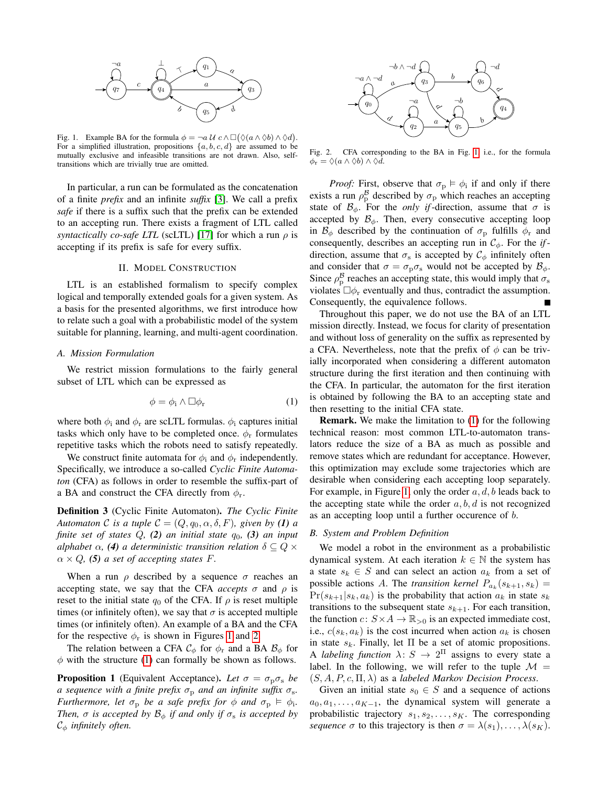

Fig. 1. Example BA for the formula  $\phi = \neg a \mathcal{U} \circ \wedge \Box (\Diamond (a \wedge \Diamond b) \wedge \Diamond d)$ . For a simplified illustration, propositions  $\{a, b, c, d\}$  are assumed to be mutually exclusive and infeasible transitions are not drawn. Also, selftransitions which are trivially true are omitted.

In particular, a run can be formulated as the concatenation of a finite *prefix* and an infinite *suffix* [\[3\]](#page-8-0). We call a prefix *safe* if there is a suffix such that the prefix can be extended to an accepting run. There exists a fragment of LTL called *syntactically co-safe LTL* (scLTL) [\[17\]](#page-8-31) for which a run  $\rho$  is accepting if its prefix is safe for every suffix.

## II. MODEL CONSTRUCTION

LTL is an established formalism to specify complex logical and temporally extended goals for a given system. As a basis for the presented algorithms, we first introduce how to relate such a goal with a probabilistic model of the system suitable for planning, learning, and multi-agent coordination.

# *A. Mission Formulation*

We restrict mission formulations to the fairly general subset of LTL which can be expressed as

$$
\phi = \phi_i \wedge \Box \phi_r \tag{1}
$$

where both  $\phi_i$  and  $\phi_r$  are scLTL formulas.  $\phi_i$  captures initial tasks which only have to be completed once.  $\phi_r$  formulates repetitive tasks which the robots need to satisfy repeatedly.

We construct finite automata for  $\phi_i$  and  $\phi_r$  independently. Specifically, we introduce a so-called *Cyclic Finite Automaton* (CFA) as follows in order to resemble the suffix-part of a BA and construct the CFA directly from  $\phi_r$ .

Definition 3 (Cyclic Finite Automaton). *The Cyclic Finite Automaton* C *is a tuple*  $C = (Q, q_0, \alpha, \delta, F)$ *, given by* (1) *a finite set of states*  $Q$ ,  $(2)$  *an initial state*  $q_0$ ,  $(3)$  *an input alphabet*  $\alpha$ , (4) *a deterministic transition relation*  $\delta \subset Q \times$  $\alpha \times Q$ , (5) *a set of accepting states F.* 

When a run  $\rho$  described by a sequence  $\sigma$  reaches an accepting state, we say that the CFA *accepts*  $\sigma$  and  $\rho$  is reset to the initial state  $q_0$  of the CFA. If  $\rho$  is reset multiple times (or infinitely often), we say that  $\sigma$  is accepted multiple times (or infinitely often). An example of a BA and the CFA for the respective  $\phi_r$  is shown in Figures [1](#page-2-0) and [2.](#page-2-1)

The relation between a CFA  $\mathcal{C}_{\phi}$  for  $\phi_{\rm r}$  and a BA  $\mathcal{B}_{\phi}$  for  $\phi$  with the structure [\(1\)](#page-2-2) can formally be shown as follows.

<span id="page-2-3"></span>**Proposition 1** (Equivalent Acceptance). Let  $\sigma = \sigma_p \sigma_s$  be *a* sequence with a finite prefix  $\sigma_p$  and an infinite suffix  $\sigma_s$ . *Furthermore, let*  $\sigma_p$  *be a safe prefix for*  $\phi$  *and*  $\sigma_p \vDash \phi_i$ *. Then,*  $\sigma$  *is accepted by*  $\mathcal{B}_{\phi}$  *if and only if*  $\sigma_s$  *is accepted by* C<sup>φ</sup> *infinitely often.*

<span id="page-2-1"></span>

<span id="page-2-0"></span>Fig. 2. CFA corresponding to the BA in Fig. [1,](#page-2-0) i.e., for the formula  $\phi_{\rm r} = \Diamond (a \land \Diamond b) \land \Diamond d.$ 

*Proof:* First, observe that  $\sigma_p \models \phi_i$  if and only if there exists a run  $\rho_{\rm p}^{\rm B}$  described by  $\sigma_{\rm p}$  which reaches an accepting state of  $\mathcal{B}_{\phi}$ . For the *only if*-direction, assume that  $\sigma$  is accepted by  $\mathcal{B}_{\phi}$ . Then, every consecutive accepting loop in  $\mathcal{B}_{\phi}$  described by the continuation of  $\sigma_{\rm p}$  fulfills  $\phi_{\rm r}$  and consequently, describes an accepting run in  $C_{\phi}$ . For the *if*direction, assume that  $\sigma_s$  is accepted by  $\mathcal{C}_{\phi}$  infinitely often and consider that  $\sigma = \sigma_{\rm p} \sigma_{\rm s}$  would not be accepted by  $\mathcal{B}_{\phi}$ . Since  $\rho_{\rm p}^{\rm g}$  reaches an accepting state, this would imply that  $\sigma_{\rm s}$ violates  $\Box \phi_r$  eventually and thus, contradict the assumption. Consequently, the equivalence follows.

Throughout this paper, we do not use the BA of an LTL mission directly. Instead, we focus for clarity of presentation and without loss of generality on the suffix as represented by a CFA. Nevertheless, note that the prefix of  $\phi$  can be trivially incorporated when considering a different automaton structure during the first iteration and then continuing with the CFA. In particular, the automaton for the first iteration is obtained by following the BA to an accepting state and then resetting to the initial CFA state.

<span id="page-2-2"></span>Remark. We make the limitation to [\(1\)](#page-2-2) for the following technical reason: most common LTL-to-automaton translators reduce the size of a BA as much as possible and remove states which are redundant for acceptance. However, this optimization may exclude some trajectories which are desirable when considering each accepting loop separately. For example, in Figure [1,](#page-2-0) only the order  $a, d, b$  leads back to the accepting state while the order  $a, b, d$  is not recognized as an accepting loop until a further occurence of b.

# *B. System and Problem Definition*

We model a robot in the environment as a probabilistic dynamical system. At each iteration  $k \in \mathbb{N}$  the system has a state  $s_k \in S$  and can select an action  $a_k$  from a set of possible actions A. The *transition kernel*  $P_{a_k}(s_{k+1}, s_k) =$  $Pr(s_{k+1}|s_k, a_k)$  is the probability that action  $a_k$  in state  $s_k$ transitions to the subsequent state  $s_{k+1}$ . For each transition, the function  $c: S \times A \to \mathbb{R}_{>0}$  is an expected immediate cost, i.e.,  $c(s_k, a_k)$  is the cost incurred when action  $a_k$  is chosen in state  $s_k$ . Finally, let  $\Pi$  be a set of atomic propositions. A *labeling function*  $\lambda: S \to 2^{\Pi}$  assigns to every state a label. In the following, we will refer to the tuple  $\mathcal{M} =$  $(S, A, P, c, \Pi, \lambda)$  as a *labeled Markov Decision Process*.

Given an initial state  $s_0 \in S$  and a sequence of actions  $a_0, a_1, \ldots, a_{K-1}$ , the dynamical system will generate a probabilistic trajectory  $s_1, s_2, \ldots, s_K$ . The corresponding *sequence*  $\sigma$  to this trajectory is then  $\sigma = \lambda(s_1), \ldots, \lambda(s_K)$ .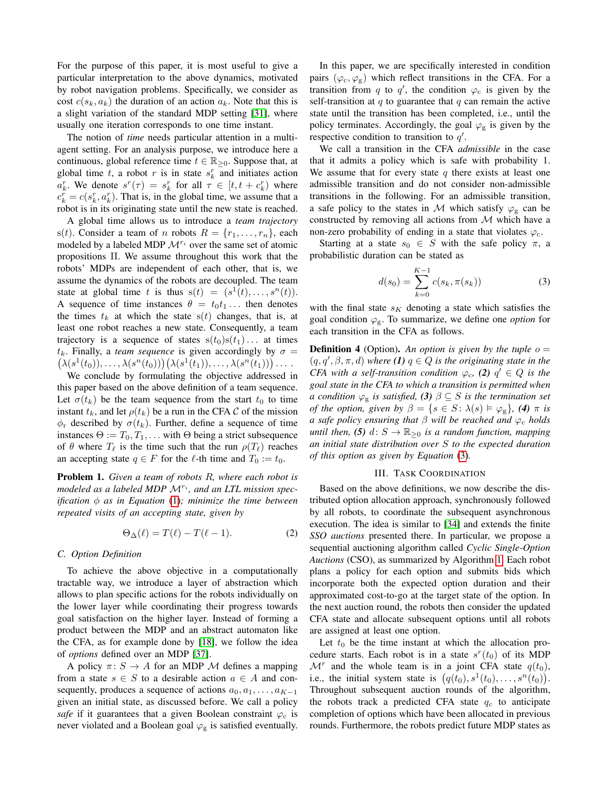For the purpose of this paper, it is most useful to give a particular interpretation to the above dynamics, motivated by robot navigation problems. Specifically, we consider as cost  $c(s_k, a_k)$  the duration of an action  $a_k$ . Note that this is a slight variation of the standard MDP setting [\[31\]](#page-8-2), where usually one iteration corresponds to one time instant.

The notion of *time* needs particular attention in a multiagent setting. For an analysis purpose, we introduce here a continuous, global reference time  $t \in \mathbb{R}_{\geq 0}$ . Suppose that, at global time t, a robot r is in state  $s_k^r$  and initiates action  $a_k^r$ . We denote  $s^r(\tau) = s_k^r$  for all  $\tau \in [t, t + c_k^r)$  where  $c_k^r = c(s_k^r, a_k^r)$ . That is, in the global time, we assume that a robot is in its originating state until the new state is reached.

A global time allows us to introduce a *team trajectory* s(t). Consider a team of n robots  $R = \{r_1, \ldots, r_n\}$ , each modeled by a labeled MDP  $\mathcal{M}^{r_i}$  over the same set of atomic propositions Π. We assume throughout this work that the robots' MDPs are independent of each other, that is, we assume the dynamics of the robots are decoupled. The team state at global time t is thus  $s(t) = (s^1(t), \ldots, s^n(t))$ . A sequence of time instances  $\theta = t_0 t_1 \dots$  then denotes the times  $t_k$  at which the state  $s(t)$  changes, that is, at least one robot reaches a new state. Consequently, a team trajectory is a sequence of states  $s(t_0)s(t_1) \dots$  at times  $t_k$ . Finally, a *team sequence* is given accordingly by  $\sigma$  =  $(\lambda(s^1(t_0)), \ldots, \lambda(s^n(t_0)))(\lambda(s^1(t_1)), \ldots, \lambda(s^n(t_1))) \ldots$ 

We conclude by formulating the objective addressed in this paper based on the above definition of a team sequence. Let  $\sigma(t_k)$  be the team sequence from the start  $t_0$  to time instant  $t_k$ , and let  $\rho(t_k)$  be a run in the CFA C of the mission  $\phi_r$  described by  $\sigma(t_k)$ . Further, define a sequence of time instances  $\Theta := T_0, T_1, \dots$  with  $\Theta$  being a strict subsequence of  $\theta$  where  $T_\ell$  is the time such that the run  $\rho(T_\ell)$  reaches an accepting state  $q \in F$  for the  $\ell$ -th time and  $T_0 := t_0$ .

Problem 1. *Given a team of robots* R*, where each robot is* modeled as a labeled MDP  $\mathcal{M}^{r_i}$ , and an LTL mission spec*ification* φ *as in Equation* [\(1\)](#page-2-2)*; minimize the time between repeated visits of an accepting state, given by*

$$
\Theta_{\Delta}(\ell) = T(\ell) - T(\ell - 1). \tag{2}
$$

### *C. Option Definition*

To achieve the above objective in a computationally tractable way, we introduce a layer of abstraction which allows to plan specific actions for the robots individually on the lower layer while coordinating their progress towards goal satisfaction on the higher layer. Instead of forming a product between the MDP and an abstract automaton like the CFA, as for example done by [\[18\]](#page-8-32), we follow the idea of *options* defined over an MDP [\[37\]](#page-9-0).

A policy  $\pi: S \to A$  for an MDP M defines a mapping from a state  $s \in S$  to a desirable action  $a \in A$  and consequently, produces a sequence of actions  $a_0, a_1, \ldots, a_{K-1}$ given an initial state, as discussed before. We call a policy *safe* if it guarantees that a given Boolean constraint  $\varphi_c$  is never violated and a Boolean goal  $\varphi_{\rm g}$  is satisfied eventually.

In this paper, we are specifically interested in condition pairs ( $\varphi_c, \varphi_g$ ) which reflect transitions in the CFA. For a transition from q to q', the condition  $\varphi_c$  is given by the self-transition at q to guarantee that  $q$  can remain the active state until the transition has been completed, i.e., until the policy terminates. Accordingly, the goal  $\varphi_{\rm g}$  is given by the respective condition to transition to  $q'$ .

We call a transition in the CFA *admissible* in the case that it admits a policy which is safe with probability 1. We assume that for every state q there exists at least one admissible transition and do not consider non-admissible transitions in the following. For an admissible transition, a safe policy to the states in M which satisfy  $\varphi_{g}$  can be constructed by removing all actions from  $M$  which have a non-zero probability of ending in a state that violates  $\varphi_c$ .

Starting at a state  $s_0 \in S$  with the safe policy  $\pi$ , a probabilistic duration can be stated as

<span id="page-3-0"></span>
$$
d(s_0) = \sum_{k=0}^{K-1} c(s_k, \pi(s_k))
$$
 (3)

with the final state  $s<sub>K</sub>$  denoting a state which satisfies the goal condition  $\varphi_{\rm g}$ . To summarize, we define one *option* for each transition in the CFA as follows.

<span id="page-3-1"></span>**Definition 4** (Option). An option is given by the tuple  $o =$  $(q, q', \beta, \pi, d)$  *where* (1)  $q \in Q$  *is the originating state in the CFA with a self-transition condition*  $\varphi_c$ , (2)  $q' \in Q$  *is the goal state in the CFA to which a transition is permitted when a* condition  $\varphi_{g}$  *is satisfied,* (3)  $\beta \subseteq S$  *is the termination set of the option, given by*  $\beta = \{s \in S : \lambda(s) \models \varphi_{g}\},\$  (4)  $\pi$  *is a safe policy ensuring that* β *will be reached and* ϕ<sup>c</sup> *holds until then,* (5)  $d: S \to \mathbb{R}_{\geq 0}$  *is a random function, mapping an initial state distribution over* S *to the expected duration of this option as given by Equation* [\(3\)](#page-3-0)*.*

# III. TASK COORDINATION

<span id="page-3-3"></span><span id="page-3-2"></span>Based on the above definitions, we now describe the distributed option allocation approach, synchronously followed by all robots, to coordinate the subsequent asynchronous execution. The idea is similar to [\[34\]](#page-8-3) and extends the finite *SSO auctions* presented there. In particular, we propose a sequential auctioning algorithm called *Cyclic Single-Option Auctions* (CSO), as summarized by Algorithm [1.](#page-4-0) Each robot plans a policy for each option and submits bids which incorporate both the expected option duration and their approximated cost-to-go at the target state of the option. In the next auction round, the robots then consider the updated CFA state and allocate subsequent options until all robots are assigned at least one option.

Let  $t_0$  be the time instant at which the allocation procedure starts. Each robot is in a state  $s^{r}(t_0)$  of its MDP  $\mathcal{M}^r$  and the whole team is in a joint CFA state  $q(t_0)$ , i.e., the initial system state is  $(q(t_0), s^1(t_0), \ldots, s^n(t_0))$ . Throughout subsequent auction rounds of the algorithm, the robots track a predicted CFA state  $q_c$  to anticipate completion of options which have been allocated in previous rounds. Furthermore, the robots predict future MDP states as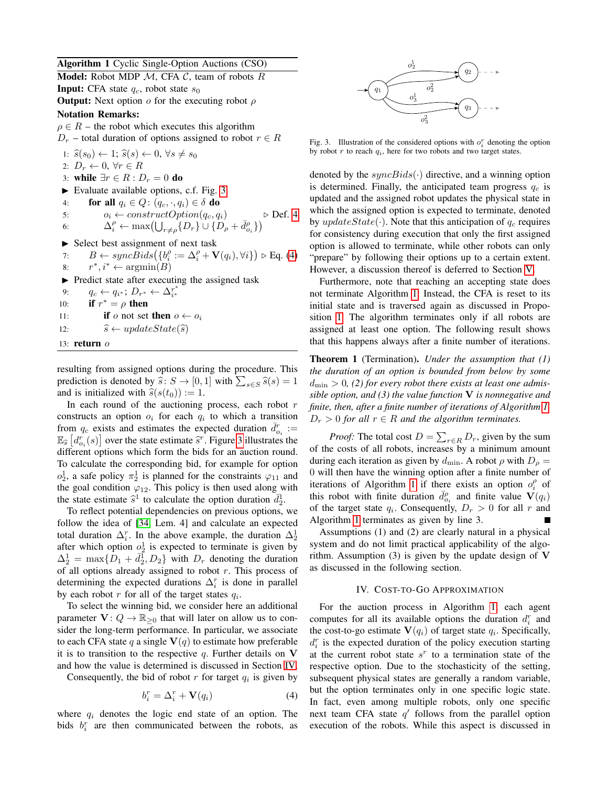Algorithm 1 Cyclic Single-Option Auctions (CSO)

<span id="page-4-0"></span>**Model:** Robot MDP  $M$ , CFA  $C$ , team of robots  $R$ **Input:** CFA state  $q_c$ , robot state  $s_0$ **Output:** Next option  $o$  for the executing robot  $\rho$ 

# Notation Remarks:

 $\rho \in R$  – the robot which executes this algorithm

 $D_r$  – total duration of options assigned to robot  $r \in R$ 

1:  $\widehat{s}(s_0) \leftarrow 1$ ;  $\widehat{s}(s) \leftarrow 0$ ,  $\forall s \neq s_0$ 2:  $D_r \leftarrow 0, \forall r \in R$ 3: while  $\exists r \in R : D_r = 0$  do  $\blacktriangleright$  Evaluate available options, c.f. Fig. [3](#page-4-1) 4: for all  $q_i \in Q$ :  $(q_c, \cdot, q_i) \in \delta$  do 5:  $o_i \leftarrow constructOption(q_c, q_i)$   $\triangleright$  Def. [4](#page-3-1) 6:  $\Delta_i^{\rho} \leftarrow \max\left(\bigcup_{r \neq \rho} \{D_r\} \cup \{D_{\rho} + \bar{d}_{o_i}^{\rho}\}\right)$  $\blacktriangleright$  Select best assignment of next task 7:  $B \leftarrow syncBids(\lbrace b_i^{\rho} := \Delta_i^{\rho} + \mathbf{V}(q_i), \forall i \rbrace) \triangleright \text{Eq. (4)}$  $B \leftarrow syncBids(\lbrace b_i^{\rho} := \Delta_i^{\rho} + \mathbf{V}(q_i), \forall i \rbrace) \triangleright \text{Eq. (4)}$  $B \leftarrow syncBids(\lbrace b_i^{\rho} := \Delta_i^{\rho} + \mathbf{V}(q_i), \forall i \rbrace) \triangleright \text{Eq. (4)}$  $8:$  *←*  $argmin(B)$  $\blacktriangleright$  Predict state after executing the assigned task 9:  $q_c \leftarrow q_{i^*}; D_{r^*} \leftarrow \Delta_{i^*}^{r^*}$ <br>
10: **if**  $r^* = \rho$  **then** 11: **if** o not set **then**  $o \leftarrow o_i$ 12:  $\hat{s} \leftarrow updateState(\hat{s})$ 13: return o

resulting from assigned options during the procedure. This prediction is denoted by  $\hat{s}: S \to [0, 1]$  with  $\sum_{s \in S} \hat{s}(s) = 1$ <br>and is initialized with  $\hat{s}(s(t_0)) := 1$ and is initialized with  $\hat{s}(s(t_0)) := 1$ .

In each round of the auctioning process, each robot  $r$ constructs an option  $o_i$  for each  $q_i$  to which a transition from  $q_c$  exists and estimates the expected duration  $\bar{d}_{o_i}^r :=$  $\mathbb{E}_{\widehat{s}}\left[d_{o_i}^r(s)\right]$  over the state estimate  $\widehat{s}^r$ . Figure [3](#page-4-1) illustrates the different options which form the bids for an auction round different options which form the bids for an auction round. To calculate the corresponding bid, for example for option  $o_2^1$ , a safe policy  $\pi_2^1$  is planned for the constraints  $\varphi_{11}$  and the goal condition  $\varphi_{12}$ . This policy is then used along with the state estimate  $\hat{s}^1$  to calculate the option duration  $\bar{d}_2^1$ .<br>To reflect potential dependencies on previous options.

To reflect potential dependencies on previous options, we follow the idea of [\[34,](#page-8-3) Lem. 4] and calculate an expected total duration  $\Delta_i^r$ . In the above example, the duration  $\Delta_2^1$ after which option  $o_2^1$  is expected to terminate is given by  $\Delta_2^1 = \max\{\overline{D}_1 + \overline{d}_2^1, D_2\}$  with  $D_r$  denoting the duration of all options already assigned to robot  $r$ . This process of determining the expected durations  $\Delta_i^r$  is done in parallel by each robot  $r$  for all of the target states  $q_i$ .

To select the winning bid, we consider here an additional parameter  $V: Q \to \mathbb{R}_{\geq 0}$  that will later on allow us to consider the long-term performance. In particular, we associate to each CFA state q a single  $V(q)$  to estimate how preferable it is to transition to the respective  $q$ . Further details on V and how the value is determined is discussed in Section [IV.](#page-4-3)

Consequently, the bid of robot  $r$  for target  $q_i$  is given by

$$
b_i^r = \Delta_i^r + \mathbf{V}(q_i) \tag{4}
$$

where  $q_i$  denotes the logic end state of an option. The bids  $b_i^r$  are then communicated between the robots, as

<span id="page-4-1"></span>

Fig. 3. Illustration of the considered options with  $o_i^r$  denoting the option by robot  $r$  to reach  $q_i$ , here for two robots and two target states.

denoted by the  $syncBids(·)$  directive, and a winning option is determined. Finally, the anticipated team progress  $q_c$  is updated and the assigned robot updates the physical state in which the assigned option is expected to terminate, denoted by updateState( $\cdot$ ). Note that this anticipation of  $q_c$  requires for consistency during execution that only the first assigned option is allowed to terminate, while other robots can only "prepare" by following their options up to a certain extent. However, a discussion thereof is deferred to Section [V.](#page-5-0)

Furthermore, note that reaching an accepting state does not terminate Algorithm [1.](#page-4-0) Instead, the CFA is reset to its initial state and is traversed again as discussed in Proposition [1.](#page-2-3) The algorithm terminates only if all robots are assigned at least one option. The following result shows that this happens always after a finite number of iterations.

Theorem 1 (Termination). *Under the assumption that (1) the duration of an option is bounded from below by some* dmin > 0*, (2) for every robot there exists at least one admissible option, and (3) the value function* V *is nonnegative and finite, then, after a finite number of iterations of Algorithm [1,](#page-4-0)*  $D_r > 0$  for all  $r \in R$  and the algorithm terminates.

*Proof:* The total cost  $D = \sum_{r \in R} D_r$ , given by the sum of the costs of all robots, increases by a minimum amount during each iteration as given by  $d_{\min}$ . A robot  $\rho$  with  $D_{\rho} =$ 0 will then have the winning option after a finite number of iterations of Algorithm [1](#page-4-0) if there exists an option  $o_i^{\rho}$  of this robot with finite duration  $\bar{d}_{o_i}^{\rho}$  and finite value  $\mathbf{V}(q_i)$ of the target state  $q_i$ . Consequently,  $D_r > 0$  for all r and Algorithm [1](#page-4-0) terminates as given by line 3.

Assumptions (1) and (2) are clearly natural in a physical system and do not limit practical applicability of the algorithm. Assumption  $(3)$  is given by the update design of V as discussed in the following section.

# IV. COST-TO-GO APPROXIMATION

<span id="page-4-3"></span><span id="page-4-2"></span>For the auction process in Algorithm [1,](#page-4-0) each agent computes for all its available options the duration  $d_i^r$  and the cost-to-go estimate  $V(q_i)$  of target state  $q_i$ . Specifically,  $d_i^r$  is the expected duration of the policy execution starting at the current robot state  $s^r$  to a termination state of the respective option. Due to the stochasticity of the setting, subsequent physical states are generally a random variable, but the option terminates only in one specific logic state. In fact, even among multiple robots, only one specific next team CFA state  $q'$  follows from the parallel option execution of the robots. While this aspect is discussed in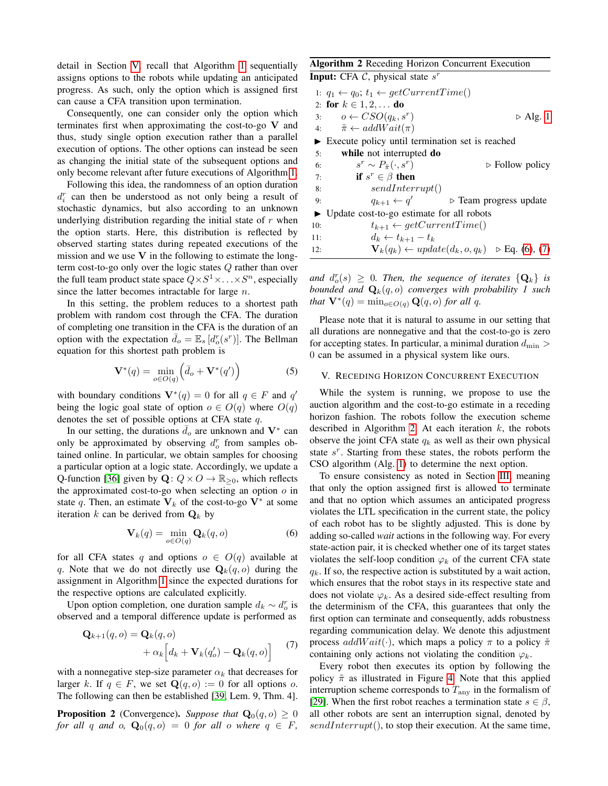detail in Section [V,](#page-5-0) recall that Algorithm [1](#page-4-0) sequentially assigns options to the robots while updating an anticipated progress. As such, only the option which is assigned first can cause a CFA transition upon termination.

Consequently, one can consider only the option which terminates first when approximating the cost-to-go V and thus, study single option execution rather than a parallel execution of options. The other options can instead be seen as changing the initial state of the subsequent options and only become relevant after future executions of Algorithm [1.](#page-4-0)

Following this idea, the randomness of an option duration  $d_i^r$  can then be understood as not only being a result of stochastic dynamics, but also according to an unknown underlying distribution regarding the initial state of  $r$  when the option starts. Here, this distribution is reflected by observed starting states during repeated executions of the mission and we use  $V$  in the following to estimate the longterm cost-to-go only over the logic states Q rather than over the full team product state space  $Q \times S^1 \times \ldots \times S^n$ , especially since the latter becomes intractable for large  $n$ .

In this setting, the problem reduces to a shortest path problem with random cost through the CFA. The duration of completing one transition in the CFA is the duration of an option with the expectation  $\bar{d}_o = \mathbb{E}_s [d_o^r(s^r)]$ . The Bellman equation for this shortest path problem is

$$
\mathbf{V}^*(q) = \min_{o \in O(q)} \left( \bar{d}_o + \mathbf{V}^*(q') \right) \tag{5}
$$

with boundary conditions  $V^*(q) = 0$  for all  $q \in F$  and  $q'$ being the logic goal state of option  $o \in O(q)$  where  $O(q)$ denotes the set of possible options at CFA state  $q$ .

In our setting, the durations  $\overline{d}_o$  are unknown and  $V^*$  can only be approximated by observing  $d_o^r$  from samples obtained online. In particular, we obtain samples for choosing a particular option at a logic state. Accordingly, we update a Q-function [\[36\]](#page-9-1) given by  $\mathbf{Q}: Q \times Q \to \mathbb{R}_{\geq 0}$ , which reflects the approximated cost-to-go when selecting an option  $o$  in state q. Then, an estimate  $V_k$  of the cost-to-go  $V^*$  at some iteration k can be derived from  $\mathbf{Q}_k$  by

$$
\mathbf{V}_k(q) = \min_{o \in O(q)} \mathbf{Q}_k(q, o) \tag{6}
$$

for all CFA states q and options  $o \in O(q)$  available at q. Note that we do not directly use  $\mathbf{Q}_k(q, o)$  during the assignment in Algorithm [1](#page-4-0) since the expected durations for the respective options are calculated explicitly.

Upon option completion, one duration sample  $d_k \sim d_o^r$  is observed and a temporal difference update is performed as

$$
\mathbf{Q}_{k+1}(q, o) = \mathbf{Q}_k(q, o)
$$
  
+  $\alpha_k \Big[ d_k + \mathbf{V}_k(q'_o) - \mathbf{Q}_k(q, o) \Big]$  (7)

with a nonnegative step-size parameter  $\alpha_k$  that decreases for larger k. If  $q \in F$ , we set  $\mathbf{Q}(q, o) := 0$  for all options o. The following can then be established [\[39,](#page-9-7) Lem. 9, Thm. 4].

<span id="page-5-4"></span>**Proposition 2** (Convergence). *Suppose that*  $Q_0(q, o) \geq 0$ *for all* q *and* o,  $\mathbf{Q}_0(q, o) = 0$  *for all* o *where*  $q \in F$ ,

| <b>Algorithm 2 Receding Horizon Concurrent Execution</b> |
|----------------------------------------------------------|
| <b>Input:</b> CFA $\mathcal{C}$ , physical state $s^r$   |

<span id="page-5-3"></span>

|     | 1: $q_1 \leftarrow q_0$ ; $t_1 \leftarrow getCurrentTime()$          |                                |  |
|-----|----------------------------------------------------------------------|--------------------------------|--|
|     | 2: for $k \in 1, 2, $ do                                             |                                |  |
|     | 3: $o \leftarrow CSO(q_k, s^r)$                                      | $\triangleright$ Alg. 1        |  |
|     | 4: $\tilde{\pi} \leftarrow addWait(\pi)$                             |                                |  |
|     | Execute policy until termination set is reached                      |                                |  |
| 5:  | while not interrupted do                                             |                                |  |
| 6:  | $s^r \sim P_{\tilde{\pi}}(\cdot, s^r)$                               | $\triangleright$ Follow policy |  |
| 7:  | if $s^r \in \beta$ then                                              |                                |  |
| 8:  | sendInterrupt()                                                      |                                |  |
| 9:  | $q_{k+1} \leftarrow q'$<br>$\triangleright$ Team progress update     |                                |  |
|     | $\triangleright$ Update cost-to-go estimate for all robots           |                                |  |
| 10: | $t_{k+1} \leftarrow getCurrentTime()$                                |                                |  |
| 11: | $d_k \leftarrow t_{k+1} - t_k$                                       |                                |  |
| 12: | $\mathbf{V}_k(q_k) \leftarrow update(d_k, o, q_k) \geq Eq. (6), (7)$ |                                |  |

and  $d_o^r(s) \geq 0$ . Then, the sequence of iterates  $\{Q_k\}$  is *bounded and*  $\mathbf{Q}_k(q, o)$  *converges with probability 1 such that*  $\mathbf{V}^*(q) = \min_{o \in O(q)} \mathbf{Q}(q, o)$  *for all q.* 

Please note that it is natural to assume in our setting that all durations are nonnegative and that the cost-to-go is zero for accepting states. In particular, a minimal duration  $d_{\min} >$ 0 can be assumed in a physical system like ours.

#### <span id="page-5-0"></span>V. RECEDING HORIZON CONCURRENT EXECUTION

<span id="page-5-5"></span>While the system is running, we propose to use the auction algorithm and the cost-to-go estimate in a receding horizon fashion. The robots follow the execution scheme described in Algorithm [2.](#page-5-3) At each iteration  $k$ , the robots observe the joint CFA state  $q_k$  as well as their own physical state  $s^r$ . Starting from these states, the robots perform the CSO algorithm (Alg. [1\)](#page-4-0) to determine the next option.

<span id="page-5-1"></span>To ensure consistency as noted in Section [III,](#page-3-2) meaning that only the option assigned first is allowed to terminate and that no option which assumes an anticipated progress violates the LTL specification in the current state, the policy of each robot has to be slightly adjusted. This is done by adding so-called *wait* actions in the following way. For every state-action pair, it is checked whether one of its target states violates the self-loop condition  $\varphi_k$  of the current CFA state  $q_k$ . If so, the respective action is substituted by a wait action, which ensures that the robot stays in its respective state and does not violate  $\varphi_k$ . As a desired side-effect resulting from the determinism of the CFA, this guarantees that only the first option can terminate and consequently, adds robustness regarding communication delay. We denote this adjustment process  $addWait(\cdot)$ , which maps a policy  $\pi$  to a policy  $\tilde{\pi}$ containing only actions not violating the condition  $\varphi_k$ .

<span id="page-5-2"></span>Every robot then executes its option by following the policy  $\tilde{\pi}$  as illustrated in Figure [4.](#page-6-0) Note that this applied interruption scheme corresponds to  $T_{\text{any}}$  in the formalism of [\[29\]](#page-8-27). When the first robot reaches a termination state  $s \in \beta$ , all other robots are sent an interruption signal, denoted by  $sendInterrupt(),$  to stop their execution. At the same time,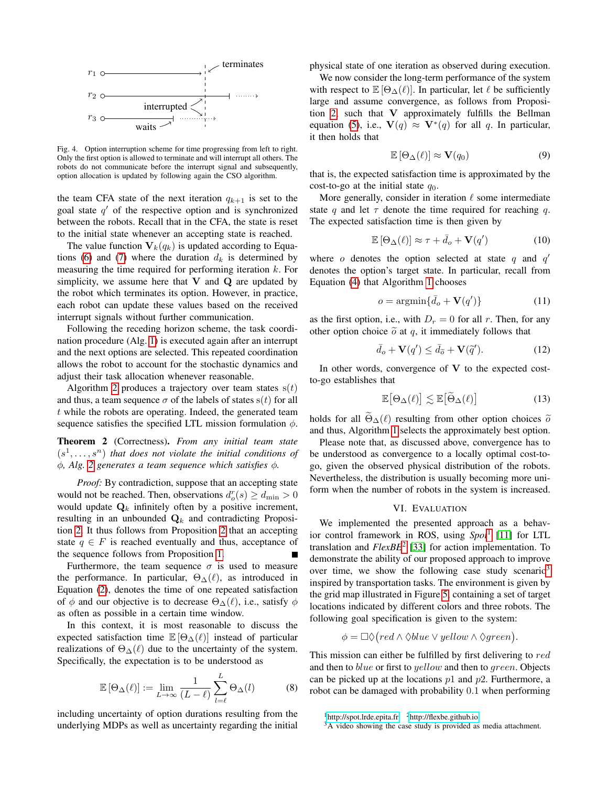

Fig. 4. Option interruption scheme for time progressing from left to right. Only the first option is allowed to terminate and will interrupt all others. The robots do not communicate before the interrupt signal and subsequently, option allocation is updated by following again the CSO algorithm.

the team CFA state of the next iteration  $q_{k+1}$  is set to the goal state  $q'$  of the respective option and is synchronized between the robots. Recall that in the CFA, the state is reset to the initial state whenever an accepting state is reached.

The value function  $V_k(q_k)$  is updated according to Equa-tions [\(6\)](#page-5-1) and [\(7\)](#page-5-2) where the duration  $d_k$  is determined by measuring the time required for performing iteration  $k$ . For simplicity, we assume here that  $V$  and  $Q$  are updated by the robot which terminates its option. However, in practice, each robot can update these values based on the received interrupt signals without further communication.

Following the receding horizon scheme, the task coordination procedure (Alg. [1\)](#page-4-0) is executed again after an interrupt and the next options are selected. This repeated coordination allows the robot to account for the stochastic dynamics and adjust their task allocation whenever reasonable.

Algorithm [2](#page-5-3) produces a trajectory over team states  $s(t)$ and thus, a team sequence  $\sigma$  of the labels of states s(t) for all t while the robots are operating. Indeed, the generated team sequence satisfies the specified LTL mission formulation  $\phi$ .

Theorem 2 (Correctness). *From any initial team state*  $(s<sup>1</sup>,...,s<sup>n</sup>)$  *that does not violate the initial conditions of* φ*, Alg. [2](#page-5-3) generates a team sequence which satisfies* φ*.*

*Proof:* By contradiction, suppose that an accepting state would not be reached. Then, observations  $d_c^r(s) \ge d_{\min} > 0$ would update  $\mathbf{Q}_k$  infinitely often by a positive increment, resulting in an unbounded  $\mathbf{Q}_k$  and contradicting Proposition [2.](#page-5-4) It thus follows from Proposition [2](#page-5-4) that an accepting state  $q \in F$  is reached eventually and thus, acceptance of the sequence follows from Proposition [1.](#page-2-3)

Furthermore, the team sequence  $\sigma$  is used to measure the performance. In particular,  $\Theta_{\Delta}(\ell)$ , as introduced in Equation [\(2\)](#page-3-3), denotes the time of one repeated satisfaction of  $\phi$  and our objective is to decrease  $\Theta_{\Delta}(\ell)$ , i.e., satisfy  $\phi$ as often as possible in a certain time window.

In this context, it is most reasonable to discuss the expected satisfaction time  $\mathbb{E}[\Theta_{\Delta}(\ell)]$  instead of particular realizations of  $\Theta_{\Delta}(\ell)$  due to the uncertainty of the system. Specifically, the expectation is to be understood as

$$
\mathbb{E}\left[\Theta_{\Delta}(\ell)\right] := \lim_{L \to \infty} \frac{1}{(L - \ell)} \sum_{l = \ell}^{L} \Theta_{\Delta}(l) \tag{8}
$$

including uncertainty of option durations resulting from the underlying MDPs as well as uncertainty regarding the initial physical state of one iteration as observed during execution.

<span id="page-6-0"></span>We now consider the long-term performance of the system with respect to  $\mathbb{E}[\Theta_{\Delta}(\ell)]$ . In particular, let  $\ell$  be sufficiently large and assume convergence, as follows from Proposition [2,](#page-5-4) such that V approximately fulfills the Bellman equation [\(5\)](#page-5-5), i.e.,  $\mathbf{V}(q) \approx \mathbf{V}^*(q)$  for all q. In particular, it then holds that

$$
\mathbb{E}\left[\Theta_{\Delta}(\ell)\right] \approx \mathbf{V}(q_0) \tag{9}
$$

that is, the expected satisfaction time is approximated by the cost-to-go at the initial state  $q_0$ .

More generally, consider in iteration  $\ell$  some intermediate state q and let  $\tau$  denote the time required for reaching q. The expected satisfaction time is then given by

$$
\mathbb{E}[\Theta_{\Delta}(\ell)] \approx \tau + \bar{d}_o + \mathbf{V}(q')
$$
 (10)

where o denotes the option selected at state  $q$  and  $q'$ denotes the option's target state. In particular, recall from Equation [\(4\)](#page-4-2) that Algorithm [1](#page-4-0) chooses

$$
o = \operatorname{argmin}\{\bar{d}_o + \mathbf{V}(q')\} \tag{11}
$$

as the first option, i.e., with  $D<sub>r</sub> = 0$  for all r. Then, for any other option choice  $\tilde{o}$  at q, it immediately follows that

$$
\bar{d}_o + \mathbf{V}(q') \le \bar{d}_{\widetilde{o}} + \mathbf{V}(\widetilde{q}'). \tag{12}
$$

In other words, convergence of  $V$  to the expected costto-go establishes that

$$
\mathbb{E}[\Theta_{\Delta}(\ell)] \lesssim \mathbb{E}[\widetilde{\Theta}_{\Delta}(\ell)] \tag{13}
$$

holds for all  $\Theta_{\Delta}(\ell)$  resulting from other option choices  $\tilde{o}$ and thus, Algorithm [1](#page-4-0) selects the approximately best option.

Please note that, as discussed above, convergence has to be understood as convergence to a locally optimal cost-togo, given the observed physical distribution of the robots. Nevertheless, the distribution is usually becoming more uniform when the number of robots in the system is increased.

# VI. EVALUATION

We implemented the presented approach as a behav-ior control framework in ROS, using Spot<sup>[1](#page-0-0)</sup> [\[11\]](#page-8-30) for LTL translation and *FlexBE*[2](#page-0-0) [\[33\]](#page-8-33) for action implementation. To demonstrate the ability of our proposed approach to improve over time, we show the following case study scenario<sup>[3](#page-0-0)</sup> inspired by transportation tasks. The environment is given by the grid map illustrated in Figure [5,](#page-7-0) containing a set of target locations indicated by different colors and three robots. The following goal specification is given to the system:

$$
\phi = \Box \Diamond (red \land \Diamond blue \lor yellow \land \Diamond green).
$$

<span id="page-6-1"></span>This mission can either be fulfilled by first delivering to red and then to blue or first to yellow and then to green. Objects can be picked up at the locations  $p1$  and  $p2$ . Furthermore, a robot can be damaged with probability 0.1 when performing

 $1$ <http://spot.lrde.epita.fr>  $2$ <http://flexbe.github.io>

<sup>&</sup>lt;sup>3</sup>A video showing the case study is provided as media attachment.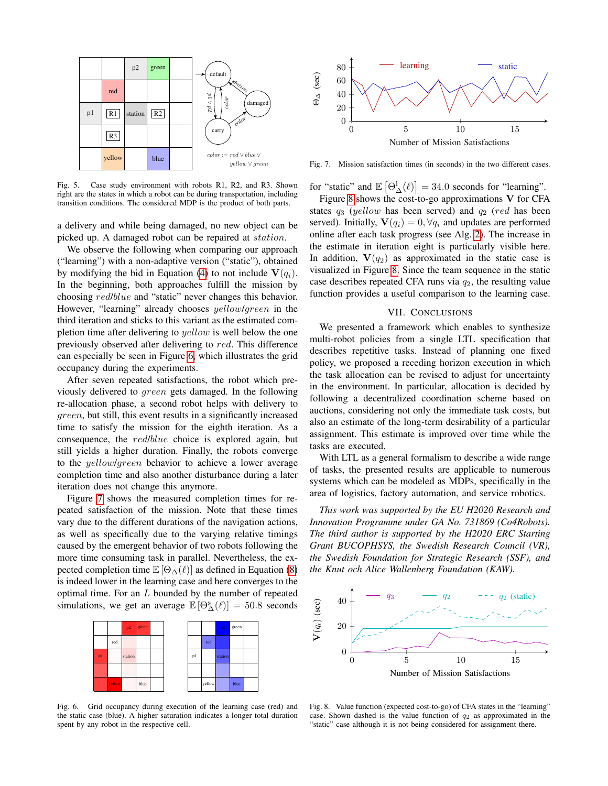

<span id="page-7-0"></span>Fig. 5. Case study environment with robots R1, R2, and R3. Shown right are the states in which a robot can be during transportation, including transition conditions. The considered MDP is the product of both parts.

a delivery and while being damaged, no new object can be picked up. A damaged robot can be repaired at station.

We observe the following when comparing our approach ("learning") with a non-adaptive version ("static"), obtained by modifying the bid in Equation [\(4\)](#page-4-2) to not include  $V(q_i)$ . In the beginning, both approaches fulfill the mission by choosing red/blue and "static" never changes this behavior. However, "learning" already chooses *yellow/green* in the third iteration and sticks to this variant as the estimated completion time after delivering to *yellow* is well below the one previously observed after delivering to red. This difference can especially be seen in Figure [6,](#page-7-1) which illustrates the grid occupancy during the experiments.

After seven repeated satisfactions, the robot which previously delivered to green gets damaged. In the following re-allocation phase, a second robot helps with delivery to green, but still, this event results in a significantly increased time to satisfy the mission for the eighth iteration. As a consequence, the red/blue choice is explored again, but still yields a higher duration. Finally, the robots converge to the yellow/green behavior to achieve a lower average completion time and also another disturbance during a later iteration does not change this anymore.

Figure [7](#page-7-2) shows the measured completion times for repeated satisfaction of the mission. Note that these times vary due to the different durations of the navigation actions, as well as specifically due to the varying relative timings caused by the emergent behavior of two robots following the more time consuming task in parallel. Nevertheless, the expected completion time  $\mathbb{E} [\Theta_{\Delta}(\ell)]$  as defined in Equation [\(8\)](#page-6-1) is indeed lower in the learning case and here converges to the optimal time. For an L bounded by the number of repeated simulations, we get an average  $\mathbb{E}[\Theta_{\Delta}^{s}(\ell)] = 50.8$  seconds



Fig. 6. Grid occupancy during execution of the learning case (red) and the static case (blue). A higher saturation indicates a longer total duration spent by any robot in the respective cell.



Fig. 7. Mission satisfaction times (in seconds) in the two different cases.

for "static" and  $\mathbb{E} [\Theta_{\Delta}^{\mathbb{I}}(\ell)] = 34.0$  seconds for "learning".

Figure [8](#page-7-3) shows the cost-to-go approximations  $V$  for CFA states  $q_3$  (yellow has been served) and  $q_2$  (red has been served). Initially,  $\mathbf{V}(q_i) = 0, \forall q_i$  and updates are performed online after each task progress (see Alg. [2\)](#page-5-3). The increase in the estimate in iteration eight is particularly visible here. In addition,  $V(q_2)$  as approximated in the static case is visualized in Figure [8.](#page-7-3) Since the team sequence in the static case describes repeated CFA runs via  $q_2$ , the resulting value function provides a useful comparison to the learning case.

## <span id="page-7-2"></span>VII. CONCLUSIONS

We presented a framework which enables to synthesize multi-robot policies from a single LTL specification that describes repetitive tasks. Instead of planning one fixed policy, we proposed a receding horizon execution in which the task allocation can be revised to adjust for uncertainty in the environment. In particular, allocation is decided by following a decentralized coordination scheme based on auctions, considering not only the immediate task costs, but also an estimate of the long-term desirability of a particular assignment. This estimate is improved over time while the tasks are executed.

With LTL as a general formalism to describe a wide range of tasks, the presented results are applicable to numerous systems which can be modeled as MDPs, specifically in the area of logistics, factory automation, and service robotics.

*This work was supported by the EU H2020 Research and Innovation Programme under GA No. 731869 (Co4Robots). The third author is supported by the H2020 ERC Starting Grant BUCOPHSYS, the Swedish Research Council (VR), the Swedish Foundation for Strategic Research (SSF), and the Knut och Alice Wallenberg Foundation (KAW).*



<span id="page-7-3"></span><span id="page-7-1"></span>Fig. 8. Value function (expected cost-to-go) of CFA states in the "learning" case. Shown dashed is the value function of  $q_2$  as approximated in the "static" case although it is not being considered for assignment there.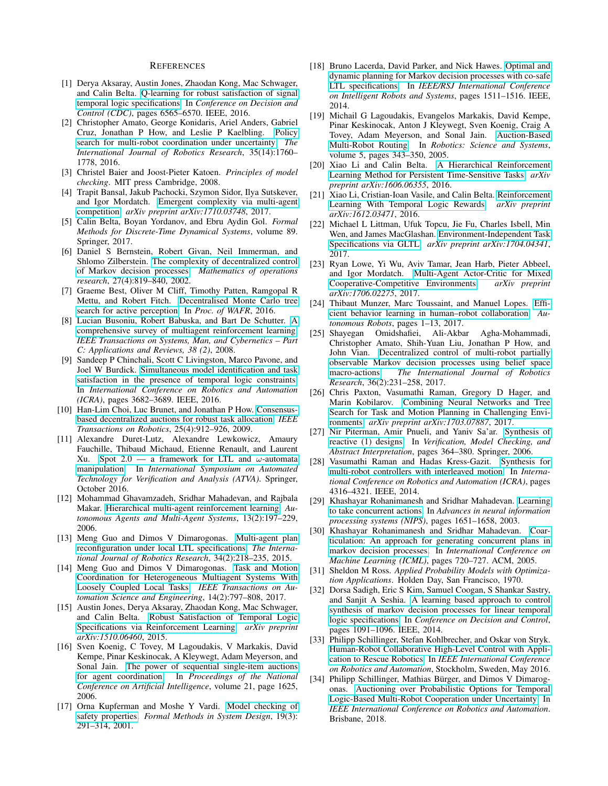#### **REFERENCES**

- <span id="page-8-11"></span>[1] Derya Aksaray, Austin Jones, Zhaodan Kong, Mac Schwager, and Calin Belta. [Q-learning for robust satisfaction of signal](https://doi.org/10.1109/CDC.2016.7799279) [temporal logic specifications.](https://doi.org/10.1109/CDC.2016.7799279) In *Conference on Decision and Control (CDC)*, pages 6565–6570. IEEE, 2016.
- <span id="page-8-21"></span>[2] Christopher Amato, George Konidaris, Ariel Anders, Gabriel Cruz, Jonathan P How, and Leslie P Kaelbling. [Policy](https://doi.org/10.1177/0278364916679611) [search for multi-robot coordination under uncertainty.](https://doi.org/10.1177/0278364916679611) *The International Journal of Robotics Research*, 35(14):1760– 1778, 2016.
- <span id="page-8-0"></span>[3] Christel Baier and Joost-Pieter Katoen. *Principles of model checking*. MIT press Cambridge, 2008.
- <span id="page-8-16"></span>[4] Trapit Bansal, Jakub Pachocki, Szymon Sidor, Ilya Sutskever, and Igor Mordatch. [Emergent complexity via multi-agent](https://arxiv.org/abs/1710.03748) [competition.](https://arxiv.org/abs/1710.03748) *arXiv preprint arXiv:1710.03748*, 2017.
- <span id="page-8-1"></span>[5] Calin Belta, Boyan Yordanov, and Ebru Aydin Gol. *Formal Methods for Discrete-Time Dynamical Systems*, volume 89. Springer, 2017.
- <span id="page-8-22"></span>[6] Daniel S Bernstein, Robert Givan, Neil Immerman, and Shlomo Zilberstein. [The complexity of decentralized control](https://doi.org/10.1287/moor.27.4.819.297) [of Markov decision processes.](https://doi.org/10.1287/moor.27.4.819.297) *Mathematics of operations research*, 27(4):819–840, 2002.
- <span id="page-8-18"></span>[7] Graeme Best, Oliver M Cliff, Timothy Patten, Ramgopal R Mettu, and Robert Fitch. [Decentralised Monte Carlo tree](http://wafr2016.berkeley.edu/papers/WAFR_2016_paper_50.pdf) [search for active perception.](http://wafr2016.berkeley.edu/papers/WAFR_2016_paper_50.pdf) In *Proc. of WAFR*, 2016.
- <span id="page-8-15"></span>[8] Lucian Busoniu, Robert Babuska, and Bart De Schutter. [A](https://doi.org/10.1109/TSMCC.2007.913919) [comprehensive survey of multiagent reinforcement learning.](https://doi.org/10.1109/TSMCC.2007.913919) *IEEE Transactions on Systems, Man, and Cybernetics – Part C: Applications and Reviews, 38 (2)*, 2008.
- <span id="page-8-20"></span>[9] Sandeep P Chinchali, Scott C Livingston, Marco Pavone, and Joel W Burdick. [Simultaneous model identification and task](https://doi.org/10.1109/ICRA.2016.7487553) [satisfaction in the presence of temporal logic constraints.](https://doi.org/10.1109/ICRA.2016.7487553) In *International Conference on Robotics and Automation (ICRA)*, pages 3682–3689. IEEE, 2016.
- <span id="page-8-25"></span>[10] Han-Lim Choi, Luc Brunet, and Jonathan P How. [Consensus](https://doi.org/10.1109/TRO.2009.2022423)[based decentralized auctions for robust task allocation.](https://doi.org/10.1109/TRO.2009.2022423) *IEEE Transactions on Robotics*, 25(4):912–926, 2009.
- <span id="page-8-30"></span>[11] Alexandre Duret-Lutz, Alexandre Lewkowicz, Amaury Fauchille, Thibaud Michaud, Etienne Renault, and Laurent Xu. [Spot 2.0 — a framework for LTL and](http://www.lrde.epita.fr/dload/papers/duret.16.atva2.pdf)  $\omega$ -automata [manipulation.](http://www.lrde.epita.fr/dload/papers/duret.16.atva2.pdf) In *International Symposium on Automated Technology for Verification and Analysis (ATVA)*. Springer, October 2016.
- <span id="page-8-17"></span>[12] Mohammad Ghavamzadeh, Sridhar Mahadevan, and Rajbala Makar. [Hierarchical multi-agent reinforcement learning.](https://doi.org/10.1007/s10458-006-7035-4) *Autonomous Agents and Multi-Agent Systems*, 13(2):197–229, 2006.
- <span id="page-8-4"></span>[13] Meng Guo and Dimos V Dimarogonas. [Multi-agent plan](http://dx.doi.org/10.1177/0278364914546174) [reconfiguration under local LTL specifications.](http://dx.doi.org/10.1177/0278364914546174) *The International Journal of Robotics Research*, 34(2):218–235, 2015.
- <span id="page-8-5"></span>[14] Meng Guo and Dimos V Dimarogonas. [Task and Motion](https://doi.org/10.1109/TASE.2016.2628389) [Coordination for Heterogeneous Multiagent Systems With](https://doi.org/10.1109/TASE.2016.2628389) [Loosely Coupled Local Tasks.](https://doi.org/10.1109/TASE.2016.2628389) *IEEE Transactions on Automation Science and Engineering*, 14(2):797–808, 2017.
- <span id="page-8-10"></span>[15] Austin Jones, Derya Aksaray, Zhaodan Kong, Mac Schwager, and Calin Belta. [Robust Satisfaction of Temporal Logic](https://arxiv.org/abs/1510.06460) [Specifications via Reinforcement Learning.](https://arxiv.org/abs/1510.06460) *arXiv preprint arXiv:1510.06460*, 2015.
- <span id="page-8-26"></span>[16] Sven Koenig, C Tovey, M Lagoudakis, V Markakis, David Kempe, Pinar Keskinocak, A Kleywegt, Adam Meyerson, and Sonal Jain. [The power of sequential single-item auctions](https://dl.acm.org/citation.cfm?id=1597457) [for agent coordination.](https://dl.acm.org/citation.cfm?id=1597457) In *Proceedings of the National Conference on Artificial Intelligence*, volume 21, page 1625, 2006.
- <span id="page-8-31"></span>[17] Orna Kupferman and Moshe Y Vardi. [Model checking of](http://dx.doi.org/10.1023/A:1011254632723) [safety properties.](http://dx.doi.org/10.1023/A:1011254632723) *Formal Methods in System Design*, 19(3): 291–314, 2001.
- <span id="page-8-32"></span>[18] Bruno Lacerda, David Parker, and Nick Hawes. [Optimal and](https://doi.org/10.1109/IROS.2014.6942756) [dynamic planning for Markov decision processes with co-safe](https://doi.org/10.1109/IROS.2014.6942756) [LTL specifications.](https://doi.org/10.1109/IROS.2014.6942756) In *IEEE/RSJ International Conference on Intelligent Robots and Systems*, pages 1511–1516. IEEE, 2014.
- <span id="page-8-24"></span>[19] Michail G Lagoudakis, Evangelos Markakis, David Kempe, Pinar Keskinocak, Anton J Kleywegt, Sven Koenig, Craig A Tovey, Adam Meyerson, and Sonal Jain. [Auction-Based](http://citeseerx.ist.psu.edu/viewdoc/summary?doi=10.1.1.160.5922) [Multi-Robot Routing.](http://citeseerx.ist.psu.edu/viewdoc/summary?doi=10.1.1.160.5922) In *Robotics: Science and Systems*, volume 5, pages 343–350, 2005.
- <span id="page-8-13"></span>[20] Xiao Li and Calin Belta. [A Hierarchical Reinforcement](https://arxiv.org/abs/1606.06355) [Learning Method for Persistent Time-Sensitive Tasks.](https://arxiv.org/abs/1606.06355) *arXiv preprint arXiv:1606.06355*, 2016.
- <span id="page-8-12"></span>[21] Xiao Li, Cristian-Ioan Vasile, and Calin Belta. [Reinforcement](https://arxiv.org/abs/1612.03471) [Learning With Temporal Logic Rewards.](https://arxiv.org/abs/1612.03471) *arXiv preprint arXiv:1612.03471*, 2016.
- <span id="page-8-8"></span>[22] Michael L Littman, Ufuk Topcu, Jie Fu, Charles Isbell, Min Wen, and James MacGlashan. [Environment-Independent Task](https://arxiv.org/abs/1704.04341) [Specifications via GLTL.](https://arxiv.org/abs/1704.04341) *arXiv preprint arXiv:1704.04341*, 2017.
- <span id="page-8-19"></span>[23] Ryan Lowe, Yi Wu, Aviv Tamar, Jean Harb, Pieter Abbeel, and Igor Mordatch. [Multi-Agent Actor-Critic for Mixed](https://arxiv.org/abs/1706.02275) [Cooperative-Competitive Environments.](https://arxiv.org/abs/1706.02275) *arXiv preprint arXiv:1706.02275*, 2017.
- <span id="page-8-29"></span>[24] Thibaut Munzer, Marc Toussaint, and Manuel Lopes. [Effi](https://doi.org/10.1007/s10514-017-9674-5)[cient behavior learning in human–robot collaboration.](https://doi.org/10.1007/s10514-017-9674-5) *Autonomous Robots*, pages 1–13, 2017.
- <span id="page-8-23"></span>[25] Shayegan Omidshafiei, Ali-Akbar Agha-Mohammadi, Christopher Amato, Shih-Yuan Liu, Jonathan P How, and John Vian. [Decentralized control of multi-robot partially](http://dx.doi.org/10.1177/0278364917692864) [observable Markov decision processes using belief space](http://dx.doi.org/10.1177/0278364917692864) [macro-actions.](http://dx.doi.org/10.1177/0278364917692864) *The International Journal of Robotics Research*, 36(2):231–258, 2017.
- <span id="page-8-14"></span>[26] Chris Paxton, Vasumathi Raman, Gregory D Hager, and Marin Kobilarov. [Combining Neural Networks and Tree](https://arxiv.org/abs/1703.07887) [Search for Task and Motion Planning in Challenging Envi](https://arxiv.org/abs/1703.07887)[ronments.](https://arxiv.org/abs/1703.07887) *arXiv preprint arXiv:1703.07887*, 2017.
- <span id="page-8-7"></span>[27] Nir Piterman, Amir Pnueli, and Yaniv Sa'ar. [Synthesis of](http://dx.doi.org/10.1007/11609773) [reactive \(1\) designs.](http://dx.doi.org/10.1007/11609773) In *Verification, Model Checking, and Abstract Interpretation*, pages 364–380. Springer, 2006.
- <span id="page-8-6"></span>[28] Vasumathi Raman and Hadas Kress-Gazit. [Synthesis for](http://ieeexplore.ieee.org/xpls/abs_all.jsp?arnumber=6907487) [multi-robot controllers with interleaved motion.](http://ieeexplore.ieee.org/xpls/abs_all.jsp?arnumber=6907487) In *International Conference on Robotics and Automation (ICRA)*, pages 4316–4321. IEEE, 2014.
- <span id="page-8-27"></span>[29] Khashayar Rohanimanesh and Sridhar Mahadevan. [Learning](http://papers.nips.cc/paper/2204-learning-to-take-concurrent-actions.pdf) [to take concurrent actions.](http://papers.nips.cc/paper/2204-learning-to-take-concurrent-actions.pdf) In *Advances in neural information processing systems (NIPS)*, pages 1651–1658, 2003.
- <span id="page-8-28"></span>[30] Khashayar Rohanimanesh and Sridhar Mahadevan. [Coar](https://doi.org/10.1145/1102351.1102442)[ticulation: An approach for generating concurrent plans in](https://doi.org/10.1145/1102351.1102442) [markov decision processes.](https://doi.org/10.1145/1102351.1102442) In *International Conference on Machine Learning (ICML)*, pages 720–727. ACM, 2005.
- <span id="page-8-2"></span>[31] Sheldon M Ross. *Applied Probability Models with Optimization Applications*. Holden Day, San Francisco, 1970.
- <span id="page-8-9"></span>[32] Dorsa Sadigh, Eric S Kim, Samuel Coogan, S Shankar Sastry, and Sanjit A Seshia. [A learning based approach to control](https://doi.org/10.1109/CDC.2014.7039527) [synthesis of markov decision processes for linear temporal](https://doi.org/10.1109/CDC.2014.7039527) [logic specifications.](https://doi.org/10.1109/CDC.2014.7039527) In *Conference on Decision and Control*, pages 1091–1096. IEEE, 2014.
- <span id="page-8-33"></span>[33] Philipp Schillinger, Stefan Kohlbrecher, and Oskar von Stryk. [Human-Robot Collaborative High-Level Control with Appli](http://dx.doi.org/10.1109/ICRA.2016.7487442)[cation to Rescue Robotics.](http://dx.doi.org/10.1109/ICRA.2016.7487442) In *IEEE International Conference on Robotics and Automation*, Stockholm, Sweden, May 2016.
- <span id="page-8-3"></span>[34] Philipp Schillinger, Mathias Bürger, and Dimos V Dimarogonas. [Auctioning over Probabilistic Options for Temporal](http://urn.kb.se/resolve?urn=urn%3Anbn%3Ase%3Akth%3Adiva-224329) [Logic-Based Multi-Robot Cooperation under Uncertainty.](http://urn.kb.se/resolve?urn=urn%3Anbn%3Ase%3Akth%3Adiva-224329) In *IEEE International Conference on Robotics and Automation*. Brisbane, 2018.